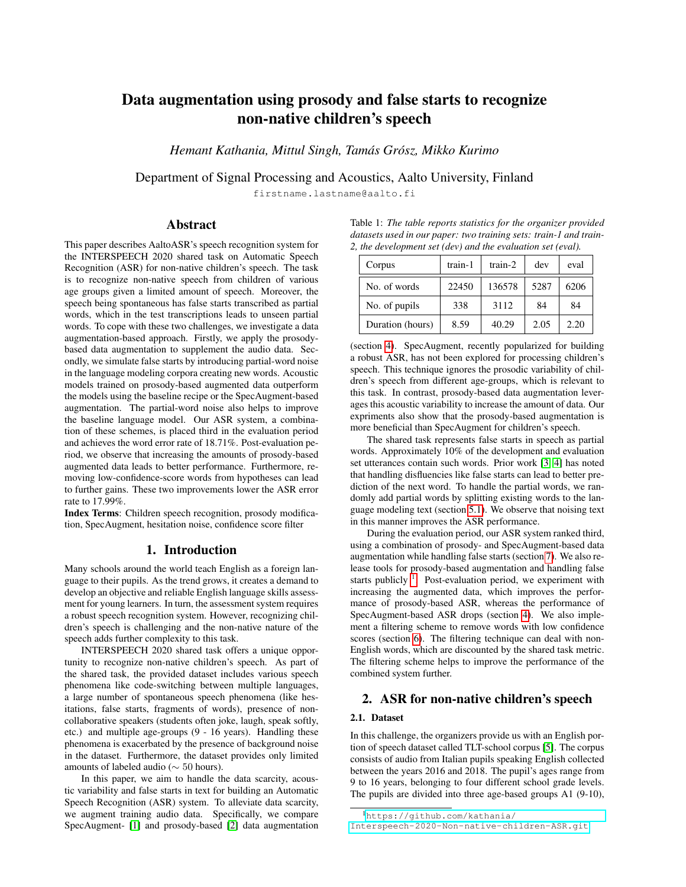# Data augmentation using prosody and false starts to recognize non-native children's speech

*Hemant Kathania, Mittul Singh, Tamas Gr ´ osz, Mikko Kurimo ´*

Department of Signal Processing and Acoustics, Aalto University, Finland

firstname.lastname@aalto.fi

## Abstract

This paper describes AaltoASR's speech recognition system for the INTERSPEECH 2020 shared task on Automatic Speech Recognition (ASR) for non-native children's speech. The task is to recognize non-native speech from children of various age groups given a limited amount of speech. Moreover, the speech being spontaneous has false starts transcribed as partial words, which in the test transcriptions leads to unseen partial words. To cope with these two challenges, we investigate a data augmentation-based approach. Firstly, we apply the prosodybased data augmentation to supplement the audio data. Secondly, we simulate false starts by introducing partial-word noise in the language modeling corpora creating new words. Acoustic models trained on prosody-based augmented data outperform the models using the baseline recipe or the SpecAugment-based augmentation. The partial-word noise also helps to improve the baseline language model. Our ASR system, a combination of these schemes, is placed third in the evaluation period and achieves the word error rate of 18.71%. Post-evaluation period, we observe that increasing the amounts of prosody-based augmented data leads to better performance. Furthermore, removing low-confidence-score words from hypotheses can lead to further gains. These two improvements lower the ASR error rate to 17.99%.

Index Terms: Children speech recognition, prosody modification, SpecAugment, hesitation noise, confidence score filter

## 1. Introduction

Many schools around the world teach English as a foreign language to their pupils. As the trend grows, it creates a demand to develop an objective and reliable English language skills assessment for young learners. In turn, the assessment system requires a robust speech recognition system. However, recognizing children's speech is challenging and the non-native nature of the speech adds further complexity to this task.

INTERSPEECH 2020 shared task offers a unique opportunity to recognize non-native children's speech. As part of the shared task, the provided dataset includes various speech phenomena like code-switching between multiple languages, a large number of spontaneous speech phenomena (like hesitations, false starts, fragments of words), presence of noncollaborative speakers (students often joke, laugh, speak softly, etc.) and multiple age-groups (9 - 16 years). Handling these phenomena is exacerbated by the presence of background noise in the dataset. Furthermore, the dataset provides only limited amounts of labeled audio (∼ 50 hours).

In this paper, we aim to handle the data scarcity, acoustic variability and false starts in text for building an Automatic Speech Recognition (ASR) system. To alleviate data scarcity, we augment training audio data. Specifically, we compare SpecAugment- [\[1\]](#page-4-0) and prosody-based [\[2\]](#page-4-1) data augmentation

<span id="page-0-1"></span>Table 1: *The table reports statistics for the organizer provided datasets used in our paper: two training sets: train-1 and train-2, the development set (dev) and the evaluation set (eval).*

| Corpus           | train-1 | $train-2$ | dev  | eval |
|------------------|---------|-----------|------|------|
| No. of words     | 22450   | 136578    | 5287 | 6206 |
| No. of pupils    | 338     | 3112      | 84   | 84   |
| Duration (hours) | 8.59    | 40.29     | 2.05 | 2.20 |

(section [4\)](#page-1-0). SpecAugment, recently popularized for building a robust ASR, has not been explored for processing children's speech. This technique ignores the prosodic variability of children's speech from different age-groups, which is relevant to this task. In contrast, prosody-based data augmentation leverages this acoustic variability to increase the amount of data. Our expriments also show that the prosody-based augmentation is more beneficial than SpecAugment for children's speech.

The shared task represents false starts in speech as partial words. Approximately 10% of the development and evaluation set utterances contain such words. Prior work [\[3,](#page-4-2) [4\]](#page-4-3) has noted that handling disfluencies like false starts can lead to better prediction of the next word. To handle the partial words, we randomly add partial words by splitting existing words to the language modeling text (section [5.1\)](#page-2-0). We observe that noising text in this manner improves the ASR performance.

During the evaluation period, our ASR system ranked third, using a combination of prosody- and SpecAugment-based data augmentation while handling false starts (section [7\)](#page-3-0). We also release tools for prosody-based augmentation and handling false starts publicly  $\overline{1}$  $\overline{1}$  $\overline{1}$ . Post-evaluation period, we experiment with increasing the augmented data, which improves the performance of prosody-based ASR, whereas the performance of SpecAugment-based ASR drops (section [4\)](#page-1-0). We also implement a filtering scheme to remove words with low confidence scores (section [6\)](#page-3-1). The filtering technique can deal with non-English words, which are discounted by the shared task metric. The filtering scheme helps to improve the performance of the combined system further.

## 2. ASR for non-native children's speech

## <span id="page-0-2"></span>2.1. Dataset

In this challenge, the organizers provide us with an English portion of speech dataset called TLT-school corpus [\[5\]](#page-4-4). The corpus consists of audio from Italian pupils speaking English collected between the years 2016 and 2018. The pupil's ages range from 9 to 16 years, belonging to four different school grade levels. The pupils are divided into three age-based groups A1 (9-10),

<span id="page-0-0"></span><sup>1</sup>[https://github.com/kathania/](https://github.com/kathania/Interspeech-2020-Non-native-children-ASR.git)

[Interspeech-2020-Non-native-children-ASR.git](https://github.com/kathania/Interspeech-2020-Non-native-children-ASR.git)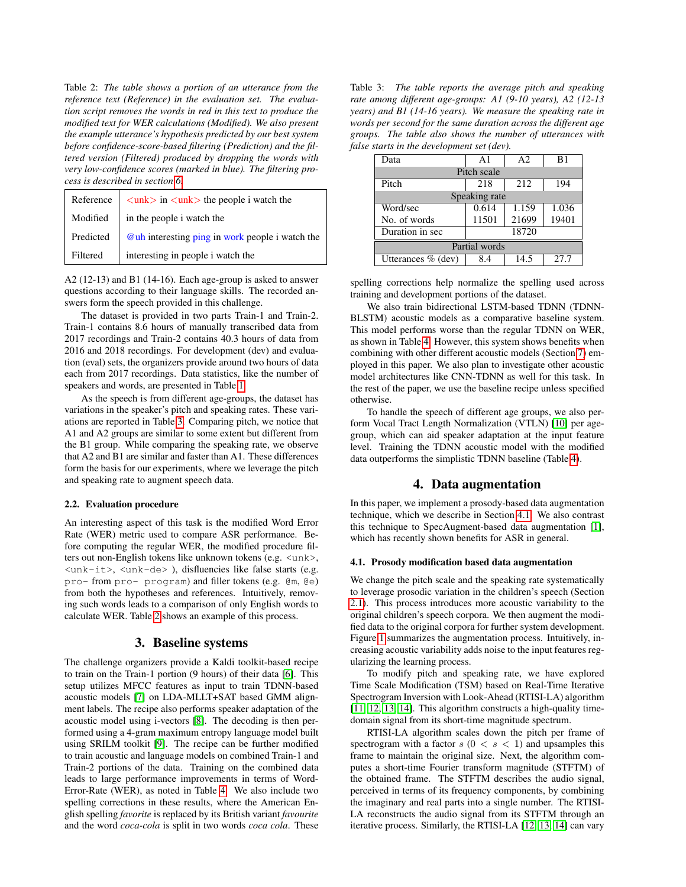<span id="page-1-2"></span>Table 2: *The table shows a portion of an utterance from the reference text (Reference) in the evaluation set. The evaluation script removes the words in red in this text to produce the modified text for WER calculations (Modified). We also present the example utterance's hypothesis predicted by our best system before confidence-score-based filtering (Prediction) and the filtered version (Filtered) produced by dropping the words with very low-confidence scores (marked in blue). The filtering process is described in section [6.](#page-3-1)*

| Reference | $\langle$ unk $\rangle$ in $\langle$ unk $\rangle$ the people i watch the |
|-----------|---------------------------------------------------------------------------|
| Modified  | in the people i watch the                                                 |
| Predicted | <b>@uh</b> interesting ping in work people i watch the                    |
| Filtered  | interesting in people i watch the                                         |

A2 (12-13) and B1 (14-16). Each age-group is asked to answer questions according to their language skills. The recorded answers form the speech provided in this challenge.

The dataset is provided in two parts Train-1 and Train-2. Train-1 contains 8.6 hours of manually transcribed data from 2017 recordings and Train-2 contains 40.3 hours of data from 2016 and 2018 recordings. For development (dev) and evaluation (eval) sets, the organizers provide around two hours of data each from 2017 recordings. Data statistics, like the number of speakers and words, are presented in Table [1.](#page-0-1)

As the speech is from different age-groups, the dataset has variations in the speaker's pitch and speaking rates. These variations are reported in Table [3.](#page-1-1) Comparing pitch, we notice that A1 and A2 groups are similar to some extent but different from the B1 group. While comparing the speaking rate, we observe that A2 and B1 are similar and faster than A1. These differences form the basis for our experiments, where we leverage the pitch and speaking rate to augment speech data.

#### <span id="page-1-4"></span>2.2. Evaluation procedure

An interesting aspect of this task is the modified Word Error Rate (WER) metric used to compare ASR performance. Before computing the regular WER, the modified procedure filters out non-English tokens like unknown tokens (e.g. <unk>, <unk-it>, <unk-de> ), disfluencies like false starts (e.g. pro- from pro- program) and filler tokens (e.g. @m, @e) from both the hypotheses and references. Intuitively, removing such words leads to a comparison of only English words to calculate WER. Table [2](#page-1-2) shows an example of this process.

#### 3. Baseline systems

The challenge organizers provide a Kaldi toolkit-based recipe to train on the Train-1 portion (9 hours) of their data [\[6\]](#page-4-5). This setup utilizes MFCC features as input to train TDNN-based acoustic models [\[7\]](#page-4-6) on LDA-MLLT+SAT based GMM alignment labels. The recipe also performs speaker adaptation of the acoustic model using i-vectors [\[8\]](#page-4-7). The decoding is then performed using a 4-gram maximum entropy language model built using SRILM toolkit [\[9\]](#page-4-8). The recipe can be further modified to train acoustic and language models on combined Train-1 and Train-2 portions of the data. Training on the combined data leads to large performance improvements in terms of Word-Error-Rate (WER), as noted in Table [4.](#page-2-1) We also include two spelling corrections in these results, where the American English spelling *favorite* is replaced by its British variant *favourite* and the word *coca-cola* is split in two words *coca cola*. These

<span id="page-1-1"></span>Table 3: *The table reports the average pitch and speaking rate among different age-groups: A1 (9-10 years), A2 (12-13 years) and B1 (14-16 years). We measure the speaking rate in words per second for the same duration across the different age groups. The table also shows the number of utterances with false starts in the development set (dev).*

| Data                 | $\Delta$ 1 | A <sub>2</sub> | B1    |  |
|----------------------|------------|----------------|-------|--|
| Pitch scale          |            |                |       |  |
| Pitch                | 218        | 212            | 194   |  |
| Speaking rate        |            |                |       |  |
| Word/sec             | 0.614      | 1.159          | 1.036 |  |
| No. of words         | 11501      | 21699          | 19401 |  |
| Duration in sec      | 18720      |                |       |  |
| Partial words        |            |                |       |  |
| Utterances $%$ (dev) | 8.4        | 14.5           | 27.7  |  |

spelling corrections help normalize the spelling used across training and development portions of the dataset.

We also train bidirectional LSTM-based TDNN (TDNN-BLSTM) acoustic models as a comparative baseline system. This model performs worse than the regular TDNN on WER, as shown in Table [4.](#page-2-1) However, this system shows benefits when combining with other different acoustic models (Section [7\)](#page-3-0) employed in this paper. We also plan to investigate other acoustic model architectures like CNN-TDNN as well for this task. In the rest of the paper, we use the baseline recipe unless specified otherwise.

To handle the speech of different age groups, we also perform Vocal Tract Length Normalization (VTLN) [\[10\]](#page-4-9) per agegroup, which can aid speaker adaptation at the input feature level. Training the TDNN acoustic model with the modified data outperforms the simplistic TDNN baseline (Table [4\)](#page-2-1).

## 4. Data augmentation

<span id="page-1-0"></span>In this paper, we implement a prosody-based data augmentation technique, which we describe in Section [4.1.](#page-1-3) We also contrast this technique to SpecAugment-based data augmentation [\[1\]](#page-4-0), which has recently shown benefits for ASR in general.

#### <span id="page-1-3"></span>4.1. Prosody modification based data augmentation

We change the pitch scale and the speaking rate systematically to leverage prosodic variation in the children's speech (Section [2.1\)](#page-0-2). This process introduces more acoustic variability to the original children's speech corpora. We then augment the modified data to the original corpora for further system development. Figure [1](#page-2-2) summarizes the augmentation process. Intuitively, increasing acoustic variability adds noise to the input features regularizing the learning process.

To modify pitch and speaking rate, we have explored Time Scale Modification (TSM) based on Real-Time Iterative Spectrogram Inversion with Look-Ahead (RTISI-LA) algorithm [\[11,](#page-4-10) [12,](#page-4-11) [13,](#page-4-12) [14\]](#page-4-13). This algorithm constructs a high-quality timedomain signal from its short-time magnitude spectrum.

RTISI-LA algorithm scales down the pitch per frame of spectrogram with a factor  $s$  ( $0 < s < 1$ ) and upsamples this frame to maintain the original size. Next, the algorithm computes a short-time Fourier transform magnitude (STFTM) of the obtained frame. The STFTM describes the audio signal, perceived in terms of its frequency components, by combining the imaginary and real parts into a single number. The RTISI-LA reconstructs the audio signal from its STFTM through an iterative process. Similarly, the RTISI-LA [\[12,](#page-4-11) [13,](#page-4-12) [14\]](#page-4-13) can vary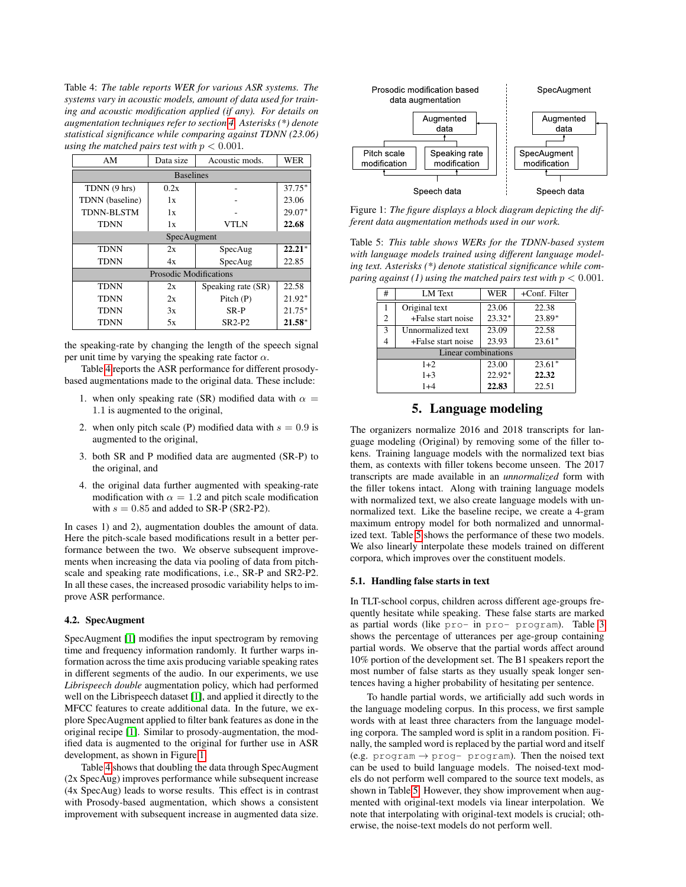<span id="page-2-1"></span>Table 4: *The table reports WER for various ASR systems. The systems vary in acoustic models, amount of data used for training and acoustic modification applied (if any). For details on augmentation techniques refer to section [4.](#page-1-0) Asterisks (\*) denote statistical significance while comparing against TDNN (23.06) using the matched pairs test with*  $p < 0.001$ *.* 

| AM                            | Data size | Acoustic mods.     | <b>WER</b> |  |
|-------------------------------|-----------|--------------------|------------|--|
| <b>Baselines</b>              |           |                    |            |  |
| TDNN (9 hrs)                  | 0.2x      |                    | $37.75*$   |  |
| TDNN (baseline)               | 1x        |                    | 23.06      |  |
| <b>TDNN-BLSTM</b>             | 1x        |                    | $29.07*$   |  |
| <b>TDNN</b>                   | 1x        | <b>VTLN</b>        | 22.68      |  |
| SpecAugment                   |           |                    |            |  |
| <b>TDNN</b>                   | 2x        | SpecAug            | $22.21*$   |  |
| <b>TDNN</b>                   | 4x        | SpecAug            | 22.85      |  |
| <b>Prosodic Modifications</b> |           |                    |            |  |
| TDNN                          | 2x        | Speaking rate (SR) | 22.58      |  |
| <b>TDNN</b>                   | 2x        | Pitch (P)          | 21.92*     |  |
| <b>TDNN</b>                   | 3x        | SR-P               | $21.75*$   |  |
| TDNN                          | 5x        | $SR2-P2$           | $21.58*$   |  |

the speaking-rate by changing the length of the speech signal per unit time by varying the speaking rate factor  $\alpha$ .

Table [4](#page-2-1) reports the ASR performance for different prosodybased augmentations made to the original data. These include:

- 1. when only speaking rate (SR) modified data with  $\alpha =$ 1.1 is augmented to the original,
- 2. when only pitch scale (P) modified data with  $s = 0.9$  is augmented to the original,
- 3. both SR and P modified data are augmented (SR-P) to the original, and
- 4. the original data further augmented with speaking-rate modification with  $\alpha = 1.2$  and pitch scale modification with  $s = 0.85$  and added to SR-P (SR2-P2).

In cases 1) and 2), augmentation doubles the amount of data. Here the pitch-scale based modifications result in a better performance between the two. We observe subsequent improvements when increasing the data via pooling of data from pitchscale and speaking rate modifications, i.e., SR-P and SR2-P2. In all these cases, the increased prosodic variability helps to improve ASR performance.

## 4.2. SpecAugment

SpecAugment [\[1\]](#page-4-0) modifies the input spectrogram by removing time and frequency information randomly. It further warps information across the time axis producing variable speaking rates in different segments of the audio. In our experiments, we use *Librispeech double* augmentation policy, which had performed well on the Librispeech dataset [\[1\]](#page-4-0), and applied it directly to the MFCC features to create additional data. In the future, we explore SpecAugment applied to filter bank features as done in the original recipe [\[1\]](#page-4-0). Similar to prosody-augmentation, the modified data is augmented to the original for further use in ASR development, as shown in Figure [1.](#page-2-2)

Table [4](#page-2-1) shows that doubling the data through SpecAugment (2x SpecAug) improves performance while subsequent increase (4x SpecAug) leads to worse results. This effect is in contrast with Prosody-based augmentation, which shows a consistent improvement with subsequent increase in augmented data size.

<span id="page-2-2"></span>

Figure 1: *The figure displays a block diagram depicting the different data augmentation methods used in our work.*

<span id="page-2-3"></span>Table 5: *This table shows WERs for the TDNN-based system with language models trained using different language modeling text. Asterisks (\*) denote statistical significance while comparing against (1) using the matched pairs test with*  $p < 0.001$ *.* 

| #                   | LM Text            | WER             | +Conf. Filter |  |
|---------------------|--------------------|-----------------|---------------|--|
|                     | Original text      | 23.06           | 22.38         |  |
| 2                   | +False start noise | $23.32*$        | 23.89*        |  |
| $\mathbf{3}$        | Unnormalized text  | 23.09           | 22.58         |  |
| 4                   | +False start noise | 23.93           | $23.61*$      |  |
| Linear combinations |                    |                 |               |  |
|                     | $1+2$              | 23.00           | $23.61*$      |  |
| $1 + 3$             |                    | 22.92*<br>22.32 |               |  |
| $1+4$               |                    | 22.83<br>22.51  |               |  |

# 5. Language modeling

The organizers normalize 2016 and 2018 transcripts for language modeling (Original) by removing some of the filler tokens. Training language models with the normalized text bias them, as contexts with filler tokens become unseen. The 2017 transcripts are made available in an *unnormalized* form with the filler tokens intact. Along with training language models with normalized text, we also create language models with unnormalized text. Like the baseline recipe, we create a 4-gram maximum entropy model for both normalized and unnormalized text. Table [5](#page-2-3) shows the performance of these two models. We also linearly interpolate these models trained on different corpora, which improves over the constituent models.

#### <span id="page-2-0"></span>5.1. Handling false starts in text

In TLT-school corpus, children across different age-groups frequently hesitate while speaking. These false starts are marked as partial words (like pro- in pro- program). Table [3](#page-1-1) shows the percentage of utterances per age-group containing partial words. We observe that the partial words affect around 10% portion of the development set. The B1 speakers report the most number of false starts as they usually speak longer sentences having a higher probability of hesitating per sentence.

To handle partial words, we artificially add such words in the language modeling corpus. In this process, we first sample words with at least three characters from the language modeling corpora. The sampled word is split in a random position. Finally, the sampled word is replaced by the partial word and itself (e.g. program  $\rightarrow$  prog- program). Then the noised text can be used to build language models. The noised-text models do not perform well compared to the source text models, as shown in Table [5.](#page-2-3) However, they show improvement when augmented with original-text models via linear interpolation. We note that interpolating with original-text models is crucial; otherwise, the noise-text models do not perform well.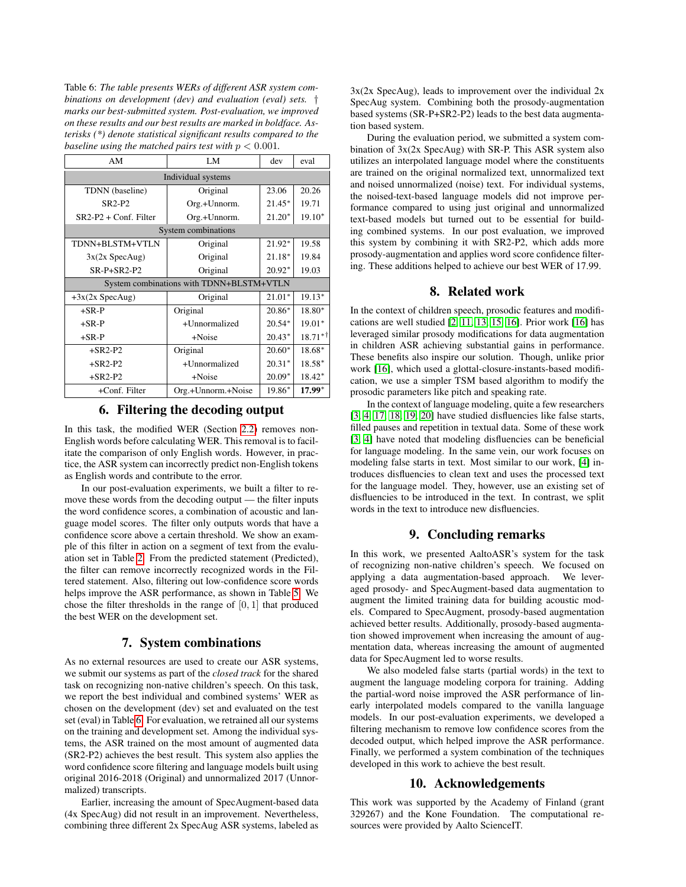<span id="page-3-2"></span>Table 6: *The table presents WERs of different ASR system combinations on development (dev) and evaluation (eval) sets.* † *marks our best-submitted system. Post-evaluation, we improved on these results and our best results are marked in boldface. Asterisks (\*) denote statistical significant results compared to the baseline using the matched pairs test with*  $p < 0.001$ *.* 

| AM                                       | LM                 | dev      | eval      |  |
|------------------------------------------|--------------------|----------|-----------|--|
| Individual systems                       |                    |          |           |  |
| TDNN (baseline)                          | Original           | 23.06    | 20.26     |  |
| $SR2-P2$                                 | Org.+Unnorm.       | $21.45*$ | 19.71     |  |
| $SR2-P2 + Conf. Filter$                  | Org.+Unnorm.       | $21.20*$ | $19.10*$  |  |
| System combinations                      |                    |          |           |  |
| TDNN+BLSTM+VTLN                          | Original           | 21.92*   | 19.58     |  |
| $3x(2x \text{ SpecAug})$                 | Original           | $21.18*$ | 19.84     |  |
| $SR-P+SR2-P2$                            | Original           | $20.92*$ | 19.03     |  |
| System combinations with TDNN+BLSTM+VTLN |                    |          |           |  |
| $+3x(2x$ SpecAug)                        | Original           | $21.01*$ | 19.13*    |  |
| $+$ SR-P                                 | Original           | $20.86*$ | 18.80*    |  |
| $+$ SR-P                                 | +Unnormalized      | $20.54*$ | $19.01*$  |  |
| $+$ SR-P                                 | $+Noise$           | $20.43*$ | $18.71**$ |  |
| $+$ SR2-P2                               | Original           | $20.60*$ | 18.68*    |  |
| $+$ SR2-P2                               | +Unnormalized      | $20.31*$ | 18.58*    |  |
| $+$ SR2-P2                               | +Noise             | $20.09*$ | 18.42*    |  |
| +Conf. Filter                            | Org.+Unnorm.+Noise | 19.86*   | $17.99*$  |  |

## 6. Filtering the decoding output

<span id="page-3-1"></span>In this task, the modified WER (Section [2.2\)](#page-1-4) removes non-English words before calculating WER. This removal is to facilitate the comparison of only English words. However, in practice, the ASR system can incorrectly predict non-English tokens as English words and contribute to the error.

In our post-evaluation experiments, we built a filter to remove these words from the decoding output — the filter inputs the word confidence scores, a combination of acoustic and language model scores. The filter only outputs words that have a confidence score above a certain threshold. We show an example of this filter in action on a segment of text from the evaluation set in Table [2.](#page-1-2) From the predicted statement (Predicted), the filter can remove incorrectly recognized words in the Filtered statement. Also, filtering out low-confidence score words helps improve the ASR performance, as shown in Table [5.](#page-2-3) We chose the filter thresholds in the range of  $[0, 1]$  that produced the best WER on the development set.

## 7. System combinations

<span id="page-3-0"></span>As no external resources are used to create our ASR systems, we submit our systems as part of the *closed track* for the shared task on recognizing non-native children's speech. On this task, we report the best individual and combined systems' WER as chosen on the development (dev) set and evaluated on the test set (eval) in Table [6.](#page-3-2) For evaluation, we retrained all our systems on the training and development set. Among the individual systems, the ASR trained on the most amount of augmented data (SR2-P2) achieves the best result. This system also applies the word confidence score filtering and language models built using original 2016-2018 (Original) and unnormalized 2017 (Unnormalized) transcripts.

Earlier, increasing the amount of SpecAugment-based data (4x SpecAug) did not result in an improvement. Nevertheless, combining three different 2x SpecAug ASR systems, labeled as 3x(2x SpecAug), leads to improvement over the individual 2x SpecAug system. Combining both the prosody-augmentation based systems (SR-P+SR2-P2) leads to the best data augmentation based system.

During the evaluation period, we submitted a system combination of 3x(2x SpecAug) with SR-P. This ASR system also utilizes an interpolated language model where the constituents are trained on the original normalized text, unnormalized text and noised unnormalized (noise) text. For individual systems, the noised-text-based language models did not improve performance compared to using just original and unnormalized text-based models but turned out to be essential for building combined systems. In our post evaluation, we improved this system by combining it with SR2-P2, which adds more prosody-augmentation and applies word score confidence filtering. These additions helped to achieve our best WER of 17.99.

# 8. Related work

In the context of children speech, prosodic features and modifications are well studied [\[2,](#page-4-1) [11,](#page-4-10) [13,](#page-4-12) [15,](#page-4-14) [16\]](#page-4-15). Prior work [\[16\]](#page-4-15) has leveraged similar prosody modifications for data augmentation in children ASR achieving substantial gains in performance. These benefits also inspire our solution. Though, unlike prior work [\[16\]](#page-4-15), which used a glottal-closure-instants-based modification, we use a simpler TSM based algorithm to modify the prosodic parameters like pitch and speaking rate.

In the context of language modeling, quite a few researchers [\[3,](#page-4-2) [4,](#page-4-3) [17,](#page-4-16) [18,](#page-4-17) [19,](#page-4-18) [20\]](#page-4-19) have studied disfluencies like false starts, filled pauses and repetition in textual data. Some of these work [\[3,](#page-4-2) [4\]](#page-4-3) have noted that modeling disfluencies can be beneficial for language modeling. In the same vein, our work focuses on modeling false starts in text. Most similar to our work, [\[4\]](#page-4-3) introduces disfluencies to clean text and uses the processed text for the language model. They, however, use an existing set of disfluencies to be introduced in the text. In contrast, we split words in the text to introduce new disfluencies.

## 9. Concluding remarks

In this work, we presented AaltoASR's system for the task of recognizing non-native children's speech. We focused on applying a data augmentation-based approach. We leveraged prosody- and SpecAugment-based data augmentation to augment the limited training data for building acoustic models. Compared to SpecAugment, prosody-based augmentation achieved better results. Additionally, prosody-based augmentation showed improvement when increasing the amount of augmentation data, whereas increasing the amount of augmented data for SpecAugment led to worse results.

We also modeled false starts (partial words) in the text to augment the language modeling corpora for training. Adding the partial-word noise improved the ASR performance of linearly interpolated models compared to the vanilla language models. In our post-evaluation experiments, we developed a filtering mechanism to remove low confidence scores from the decoded output, which helped improve the ASR performance. Finally, we performed a system combination of the techniques developed in this work to achieve the best result.

## 10. Acknowledgements

This work was supported by the Academy of Finland (grant 329267) and the Kone Foundation. The computational resources were provided by Aalto ScienceIT.